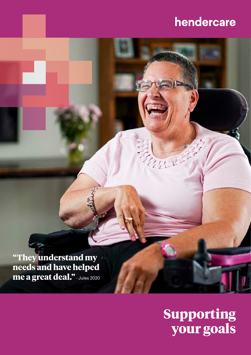# hendercare

**"They understand my needs and have helped me a great deal."-** Jules 2020

# **Supporting your goals**

经纪世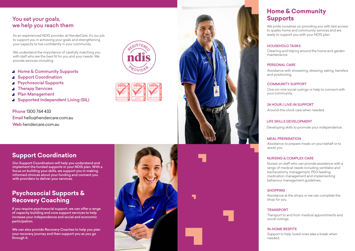### You set your goals, we help you reach them

### **Home & Community Supports**

Cleaning and tidying around the home and garden maintenance.

#### HOUSEHOLD TASKS

Nurses on staff who can provide assistance with a range of medical needs including ventilator and tracheostomy management, PEG feeding, medication management and implementing behaviour management guidelines.

#### NURSING & COMPLEX CARE

Assistance at the shops or we can complete the shop for you.

#### SHOPPING

Transport to and from medical appointments and social outings.

#### TRANSPORT

#### MEAL PREPARATION

Assistance to prepare meals on your behalf or to assist you.

One-on-one social outings or help to connect with your community.

#### COMMUNITY SUPPORT

Assistance with showering, dressing, eating, transfers and positioning.

#### PERSONAL CARE

Support to help loved ones take a break when needed.

#### IN-HOME RESPITE

Around-the-clock care when needed.

#### 24 HOUR / LIVE-IN SUPPORT

#### LIFE SKILLS DEVELOPMENT

Developing skills to promote your independence.

Phone 1300 764 433 Email hello@hendercare.com.au Web hendercare.com.au

Our Support Coordinators will help you understand and implement the funded supports in your NDIS plan. With a focus on building your skills, we support you in making informed choices about your funding and connect you with providers to deliver your services.



We pride ourselves on providing you with fast access to quality home and community services and are ready to support you with your NDIS plan.

### **Psychosocial Supports & Recovery Coaching**

If you require psychosocial support, we can offer a range of capacity building and core support services to help increase your independence and social and economic participation.

We can also provide Recovery Coaches to help you plan your recovery journey and then support you as you go through it.





As an experienced NDIS provider, at HenderCare, it's our job to support you in achieving your goals and strengthening your capacity to live confidently in your community.

We understand the importance of carefully matching you with staff who are the best fit for you and your needs. We provide services including:

- **Home & Community Supports**
- Support Coordination
- Psychosocial Supports
- Therapy Services
- Plan Management
- **J** Supported Independent Living (SIL)